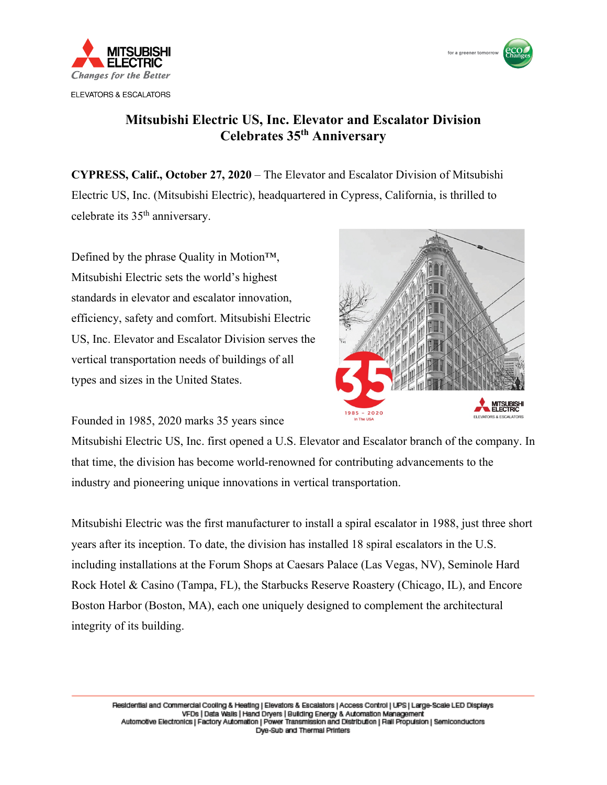



## **Mitsubishi Electric US, Inc. Elevator and Escalator Division Celebrates 35th Anniversary**

**CYPRESS, Calif., October 27, 2020** – The Elevator and Escalator Division of Mitsubishi Electric US, Inc. (Mitsubishi Electric), headquartered in Cypress, California, is thrilled to celebrate its 35th anniversary.

Defined by the phrase Quality in Motion™, Mitsubishi Electric sets the world's highest standards in elevator and escalator innovation, efficiency, safety and comfort. Mitsubishi Electric US, Inc. Elevator and Escalator Division serves the vertical transportation needs of buildings of all types and sizes in the United States.

Founded in 1985, 2020 marks 35 years since



Mitsubishi Electric US, Inc. first opened a U.S. Elevator and Escalator branch of the company. In that time, the division has become world-renowned for contributing advancements to the industry and pioneering unique innovations in vertical transportation.

Mitsubishi Electric was the first manufacturer to install a spiral escalator in 1988, just three short years after its inception. To date, the division has installed 18 spiral escalators in the U.S. including installations at the Forum Shops at Caesars Palace (Las Vegas, NV), Seminole Hard Rock Hotel & Casino (Tampa, FL), the Starbucks Reserve Roastery (Chicago, IL), and Encore Boston Harbor (Boston, MA), each one uniquely designed to complement the architectural integrity of its building.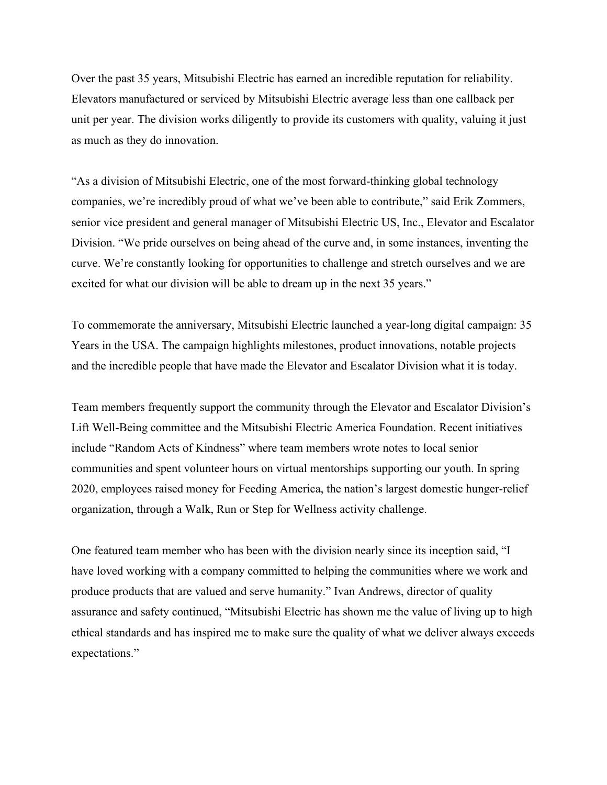Over the past 35 years, Mitsubishi Electric has earned an incredible reputation for reliability. Elevators manufactured or serviced by Mitsubishi Electric average less than one callback per unit per year. The division works diligently to provide its customers with quality, valuing it just as much as they do innovation.

"As a division of Mitsubishi Electric, one of the most forward-thinking global technology companies, we're incredibly proud of what we've been able to contribute," said Erik Zommers, senior vice president and general manager of Mitsubishi Electric US, Inc., Elevator and Escalator Division. "We pride ourselves on being ahead of the curve and, in some instances, inventing the curve. We're constantly looking for opportunities to challenge and stretch ourselves and we are excited for what our division will be able to dream up in the next 35 years."

To commemorate the anniversary, Mitsubishi Electric launched a year-long digital campaign: 35 Years in the USA. The campaign highlights milestones, product innovations, notable projects and the incredible people that have made the Elevator and Escalator Division what it is today.

Team members frequently support the community through the Elevator and Escalator Division's Lift Well-Being committee and the Mitsubishi Electric America Foundation. Recent initiatives include "Random Acts of Kindness" where team members wrote notes to local senior communities and spent volunteer hours on virtual mentorships supporting our youth. In spring 2020, employees raised money for Feeding America, the nation's largest domestic hunger-relief organization, through a Walk, Run or Step for Wellness activity challenge.

One featured team member who has been with the division nearly since its inception said, "I have loved working with a company committed to helping the communities where we work and produce products that are valued and serve humanity." Ivan Andrews, director of quality assurance and safety continued, "Mitsubishi Electric has shown me the value of living up to high ethical standards and has inspired me to make sure the quality of what we deliver always exceeds expectations."